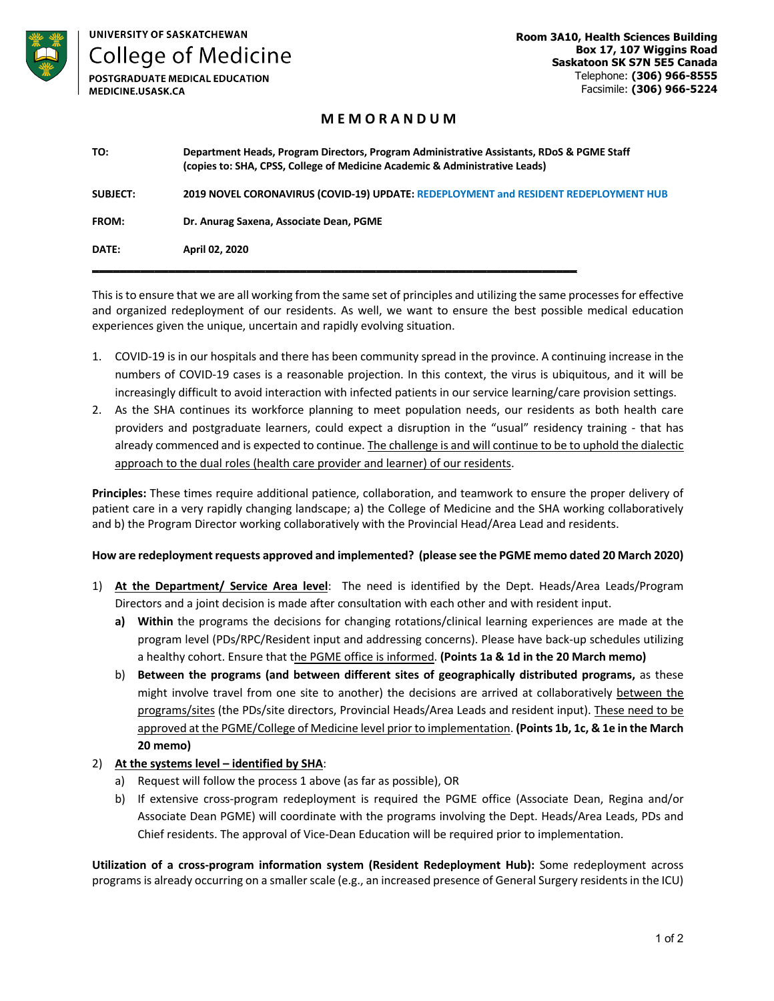

|  | JNIVERSITY OF SASKATCHEWAN |  |
|--|----------------------------|--|
|  |                            |  |

**College of Medicine** 

POSTGRADUATE MEDICAL EDUCATION MEDICINE.USASK.CA

**Room 3A10, Health Sciences Building Box 17, 107 Wiggins Road Saskatoon SK S7N 5E5 Canada** Telephone: **(306) 966-8555** Facsimile: **(306) 966-5224**

## **M E M O R A N D U M**

| TO:             | Department Heads, Program Directors, Program Administrative Assistants, RDoS & PGME Staff<br>(copies to: SHA, CPSS, College of Medicine Academic & Administrative Leads) |
|-----------------|--------------------------------------------------------------------------------------------------------------------------------------------------------------------------|
| <b>SUBJECT:</b> | 2019 NOVEL CORONAVIRUS (COVID-19) UPDATE: REDEPLOYMENT and RESIDENT REDEPLOYMENT HUB                                                                                     |
| FROM:           | Dr. Anurag Saxena, Associate Dean, PGME                                                                                                                                  |
| DATE:           | April 02, 2020                                                                                                                                                           |
|                 |                                                                                                                                                                          |

This is to ensure that we are all working from the same set of principles and utilizing the same processes for effective and organized redeployment of our residents. As well, we want to ensure the best possible medical education experiences given the unique, uncertain and rapidly evolving situation.

- 1. COVID-19 is in our hospitals and there has been community spread in the province. A continuing increase in the numbers of COVID-19 cases is a reasonable projection. In this context, the virus is ubiquitous, and it will be increasingly difficult to avoid interaction with infected patients in our service learning/care provision settings.
- 2. As the SHA continues its workforce planning to meet population needs, our residents as both health care providers and postgraduate learners, could expect a disruption in the "usual" residency training - that has already commenced and is expected to continue. The challenge is and will continue to be to uphold the dialectic approach to the dual roles (health care provider and learner) of our residents.

**Principles:** These times require additional patience, collaboration, and teamwork to ensure the proper delivery of patient care in a very rapidly changing landscape; a) the College of Medicine and the SHA working collaboratively and b) the Program Director working collaboratively with the Provincial Head/Area Lead and residents.

### **How are redeployment requests approved and implemented? (please see the PGME memo dated 20 March 2020)**

- 1) **At the Department/ Service Area level**: The need is identified by the Dept. Heads/Area Leads/Program Directors and a joint decision is made after consultation with each other and with resident input.
	- **a) Within** the programs the decisions for changing rotations/clinical learning experiences are made at the program level (PDs/RPC/Resident input and addressing concerns). Please have back-up schedules utilizing a healthy cohort. Ensure that the PGME office is informed. **(Points 1a & 1d in the 20 March memo)**
	- b) **Between the programs (and between different sites of geographically distributed programs,** as these might involve travel from one site to another) the decisions are arrived at collaboratively between the programs/sites (the PDs/site directors, Provincial Heads/Area Leads and resident input). These need to be approved at the PGME/College of Medicine level prior to implementation. **(Points 1b, 1c, & 1e in the March 20 memo)**
- 2) **At the systems level – identified by SHA**:
	- a) Request will follow the process 1 above (as far as possible), OR
	- b) If extensive cross-program redeployment is required the PGME office (Associate Dean, Regina and/or Associate Dean PGME) will coordinate with the programs involving the Dept. Heads/Area Leads, PDs and Chief residents. The approval of Vice-Dean Education will be required prior to implementation.

**Utilization of a cross-program information system (Resident Redeployment Hub):** Some redeployment across programs is already occurring on a smaller scale (e.g., an increased presence of General Surgery residents in the ICU)